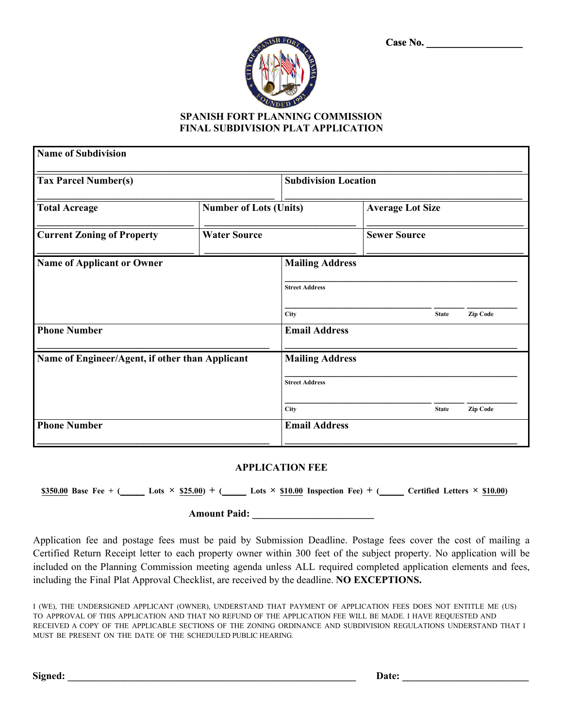| Case No. |  |  |  |  |  |  |  |
|----------|--|--|--|--|--|--|--|
|          |  |  |  |  |  |  |  |



## **SPANISH FORT PLANNING COMMISSION FINAL SUBDIVISION PLAT APPLICATION**

| <b>Name of Subdivision</b>                      |                               |                                                 |                     |              |          |  |
|-------------------------------------------------|-------------------------------|-------------------------------------------------|---------------------|--------------|----------|--|
| <b>Tax Parcel Number(s)</b>                     | <b>Subdivision Location</b>   |                                                 |                     |              |          |  |
| <b>Total Acreage</b>                            | <b>Number of Lots (Units)</b> | <b>Average Lot Size</b>                         |                     |              |          |  |
| <b>Current Zoning of Property</b>               | <b>Water Source</b>           |                                                 | <b>Sewer Source</b> |              |          |  |
| Name of Applicant or Owner                      |                               | <b>Mailing Address</b><br><b>Street Address</b> |                     |              |          |  |
|                                                 |                               | City                                            |                     | <b>State</b> | Zip Code |  |
| <b>Phone Number</b>                             |                               | <b>Email Address</b>                            |                     |              |          |  |
| Name of Engineer/Agent, if other than Applicant |                               | <b>Mailing Address</b>                          |                     |              |          |  |
|                                                 |                               | <b>Street Address</b>                           |                     |              |          |  |
|                                                 |                               | City                                            |                     | <b>State</b> | Zip Code |  |
| <b>Phone Number</b>                             |                               | <b>Email Address</b>                            |                     |              |          |  |

## **APPLICATION FEE**

 $\underline{\$350.00\}$  Base Fee + (Lets ×  $\underline{\$25.00\}$  + (Lets ×  $\underline{\$10.00\}$  Inspection Fee) + (Letters ×  $\underline{\$10.00\}$ 

## **Amount Paid: \_\_\_\_\_\_\_\_\_\_\_\_\_\_\_\_\_\_\_\_\_\_\_\_**

Application fee and postage fees must be paid by Submission Deadline. Postage fees cover the cost of mailing a Certified Return Receipt letter to each property owner within 300 feet of the subject property. No application will be included on the Planning Commission meeting agenda unless ALL required completed application elements and fees, including the Final Plat Approval Checklist, are received by the deadline. **NO EXCEPTIONS.**

I (WE), THE UNDERSIGNED APPLICANT (OWNER), UNDERSTAND THAT PAYMENT OF APPLICATION FEES DOES NOT ENTITLE ME (US) TO APPROVAL OF THIS APPLICATION AND THAT NO REFUND OF THE APPLICATION FEE WILL BE MADE. I HAVE REQUESTED AND RECEIVED A COPY OF THE APPLICABLE SECTIONS OF THE ZONING ORDINANCE AND SUBDIVISION REGULATIONS UNDERSTAND THAT I MUST BE PRESENT ON THE DATE OF THE SCHEDULED PUBLIC HEARING.

**Signed: \_\_\_\_\_\_\_\_\_\_\_\_\_\_\_\_\_\_\_\_\_\_\_\_\_\_\_\_\_\_\_\_\_\_\_\_\_\_\_\_\_\_\_\_\_\_\_\_\_\_\_\_\_\_\_\_\_ Date: \_\_\_\_\_\_\_\_\_\_\_\_\_\_\_\_\_\_\_\_\_\_\_\_\_**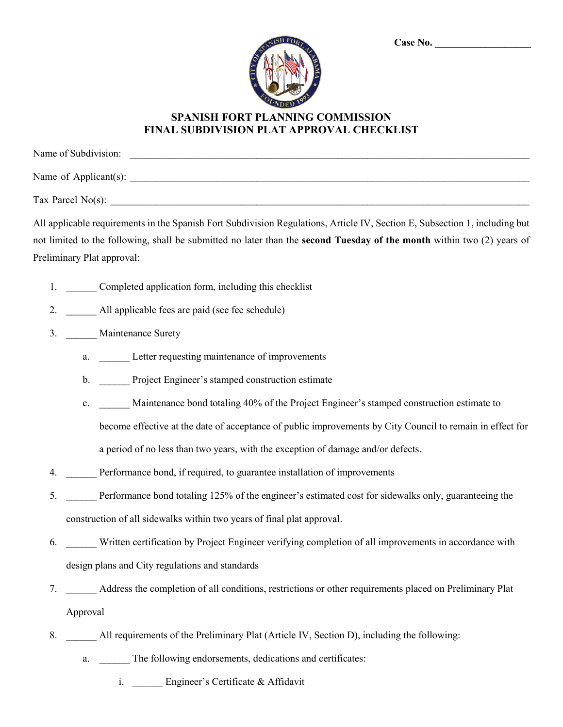| <b>ISH FORT</b> |  |
|-----------------|--|
|                 |  |
|                 |  |
| BOUN<br>VD<br>Е |  |

## **SPANISH FORT PLANNING COMMISSION FINAL SUBDIVISION PLAT APPROVAL CHECKLIST**

| Name of Subdivision:  |  |  |
|-----------------------|--|--|
| Name of Applicant(s): |  |  |
| Tax Parcel $No(s)$ :  |  |  |

All applicable requirements in the Spanish Fort Subdivision Regulations, Article IV, Section E, Subsection 1, including but not limited to the following, shall be submitted no later than the **second Tuesday of the month** within two (2) years of Preliminary Plat approval:

- 1. Completed application form, including this checklist
- 2. All applicable fees are paid (see fee schedule)
- 3. Maintenance Surety
	- a. Letter requesting maintenance of improvements
	- b. Project Engineer's stamped construction estimate
	- c. \_\_\_\_\_\_ Maintenance bond totaling 40% of the Project Engineer's stamped construction estimate to

become effective at the date of acceptance of public improvements by City Council to remain in effect for

a period of no less than two years, with the exception of damage and/or defects.

- 4. \_\_\_\_\_\_ Performance bond, if required, to guarantee installation of improvements
- 5. \_\_\_\_\_\_ Performance bond totaling 125% of the engineer's estimated cost for sidewalks only, guaranteeing the construction of all sidewalks within two years of final plat approval.
- 6. \_\_\_\_\_\_ Written certification by Project Engineer verifying completion of all improvements in accordance with design plans and City regulations and standards
- 7. \_\_\_\_\_\_ Address the completion of all conditions, restrictions or other requirements placed on Preliminary Plat Approval
- 8. All requirements of the Preliminary Plat (Article IV, Section D), including the following:
	- a. The following endorsements, dedications and certificates:
		- i. \_\_\_\_\_\_ Engineer's Certificate & Affidavit